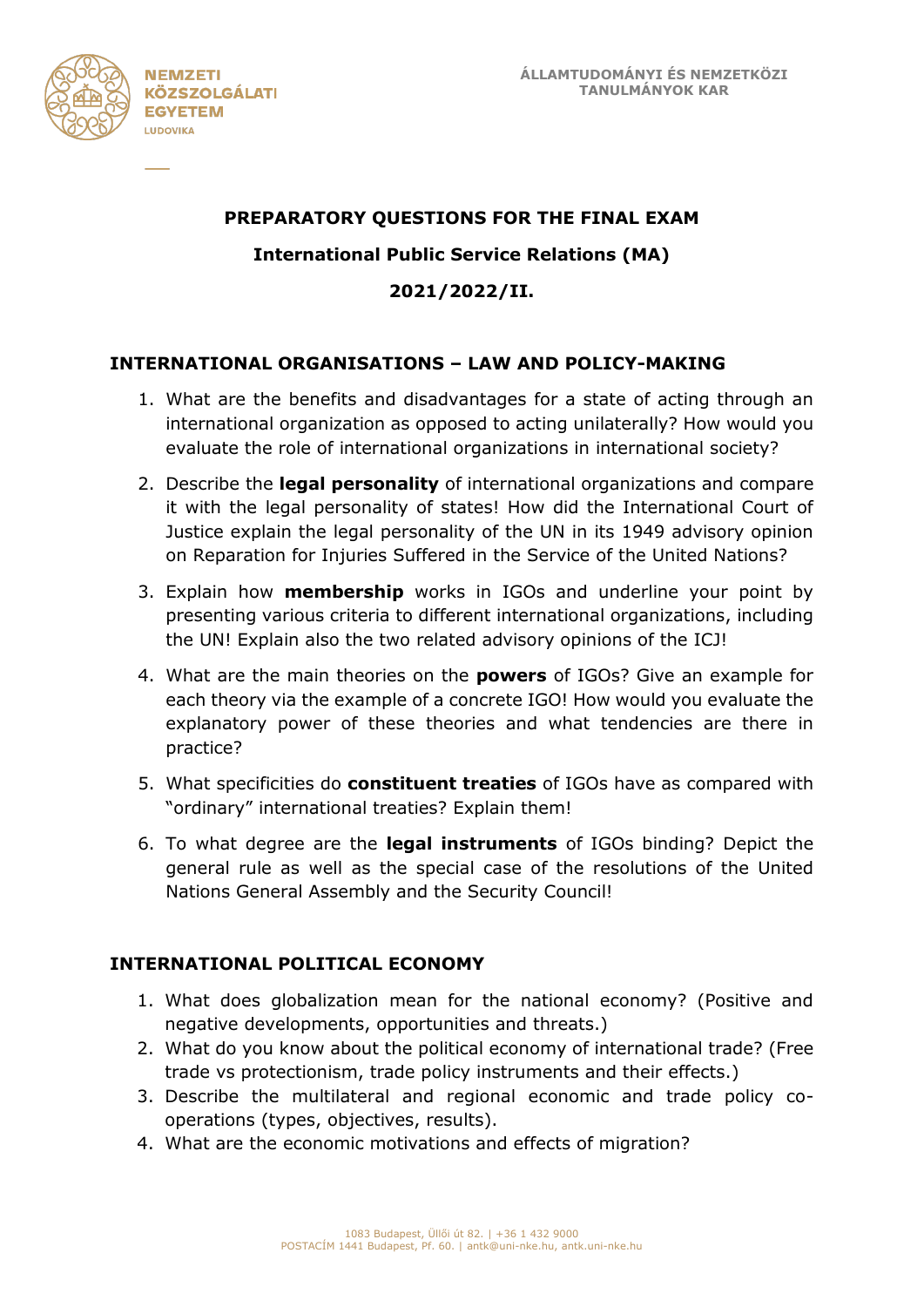

## **PREPARATORY QUESTIONS FOR THE FINAL EXAM**

## **International Public Service Relations (MA)**

**2021/2022/II.**

## **INTERNATIONAL ORGANISATIONS – LAW AND POLICY-MAKING**

- 1. What are the benefits and disadvantages for a state of acting through an international organization as opposed to acting unilaterally? How would you evaluate the role of international organizations in international society?
- 2. Describe the **legal personality** of international organizations and compare it with the legal personality of states! How did the International Court of Justice explain the legal personality of the UN in its 1949 advisory opinion on Reparation for Injuries Suffered in the Service of the United Nations?
- 3. Explain how **membership** works in IGOs and underline your point by presenting various criteria to different international organizations, including the UN! Explain also the two related advisory opinions of the ICJ!
- 4. What are the main theories on the **powers** of IGOs? Give an example for each theory via the example of a concrete IGO! How would you evaluate the explanatory power of these theories and what tendencies are there in practice?
- 5. What specificities do **constituent treaties** of IGOs have as compared with "ordinary" international treaties? Explain them!
- 6. To what degree are the **legal instruments** of IGOs binding? Depict the general rule as well as the special case of the resolutions of the United Nations General Assembly and the Security Council!

#### **INTERNATIONAL POLITICAL ECONOMY**

- 1. What does globalization mean for the national economy? (Positive and negative developments, opportunities and threats.)
- 2. What do you know about the political economy of international trade? (Free trade vs protectionism, trade policy instruments and their effects.)
- 3. Describe the multilateral and regional economic and trade policy cooperations (types, objectives, results).
- 4. What are the economic motivations and effects of migration?